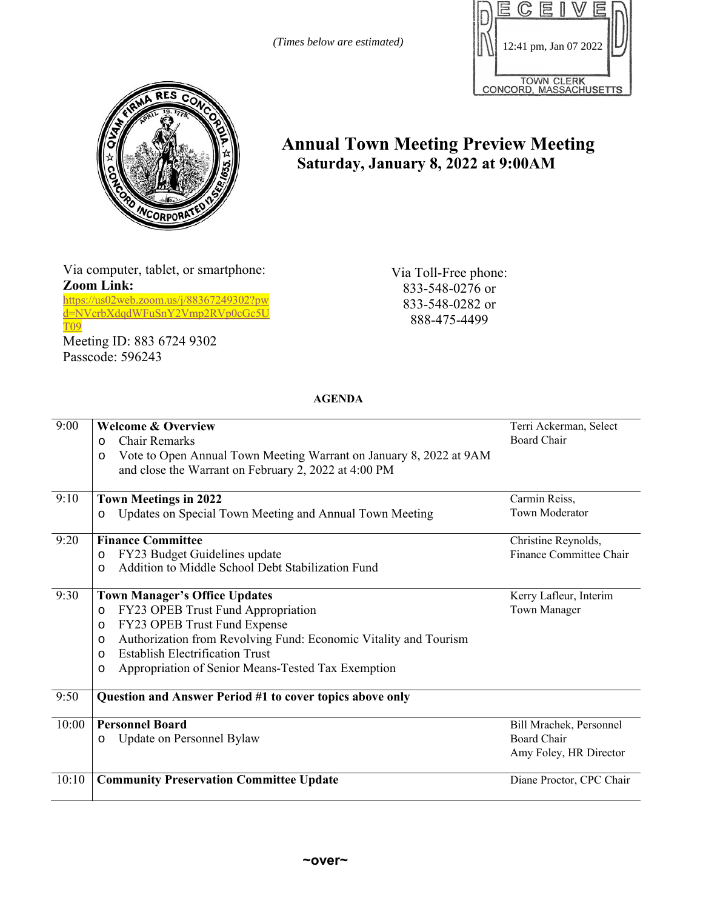*(Times below are estimated)* 





## **Annual Town Meeting Preview Meeting Saturday, January 8, 2022 at 9:00AM**

Via computer, tablet, or smartphone: **Zoom Link:** 

https://us02web.zoom.us/j/88367249302?pw d=NVcrbXdqdWFuSnY2Vmp2RVp0cGc5U T09

Meeting ID: 883 6724 9302 Passcode: 596243

Via Toll-Free phone: 833-548-0276 or 833-548-0282 or 888-475-4499

**AGENDA** 

| 9:00  | <b>Welcome &amp; Overview</b>                                                 | Terri Ackerman, Select   |
|-------|-------------------------------------------------------------------------------|--------------------------|
|       | <b>Chair Remarks</b><br>$\circ$                                               | Board Chair              |
|       | Vote to Open Annual Town Meeting Warrant on January 8, 2022 at 9AM<br>$\circ$ |                          |
|       | and close the Warrant on February 2, 2022 at 4:00 PM                          |                          |
| 9:10  | <b>Town Meetings in 2022</b>                                                  | Carmin Reiss,            |
|       | Updates on Special Town Meeting and Annual Town Meeting<br>$\circ$            | Town Moderator           |
| 9:20  | <b>Finance Committee</b>                                                      | Christine Reynolds,      |
|       | FY23 Budget Guidelines update<br>$\circ$                                      | Finance Committee Chair  |
|       | Addition to Middle School Debt Stabilization Fund<br>$\Omega$                 |                          |
| 9:30  | <b>Town Manager's Office Updates</b>                                          | Kerry Lafleur, Interim   |
|       | FY23 OPEB Trust Fund Appropriation<br>$\circ$                                 | Town Manager             |
|       | FY23 OPEB Trust Fund Expense<br>$\circ$                                       |                          |
|       | Authorization from Revolving Fund: Economic Vitality and Tourism<br>$\circ$   |                          |
|       | <b>Establish Electrification Trust</b><br>$\circ$                             |                          |
|       | Appropriation of Senior Means-Tested Tax Exemption<br>O                       |                          |
| 9:50  | Question and Answer Period #1 to cover topics above only                      |                          |
| 10:00 | <b>Personnel Board</b>                                                        | Bill Mrachek, Personnel  |
|       | Update on Personnel Bylaw<br>$\circ$                                          | Board Chair              |
|       |                                                                               | Amy Foley, HR Director   |
| 10:10 | <b>Community Preservation Committee Update</b>                                | Diane Proctor, CPC Chair |